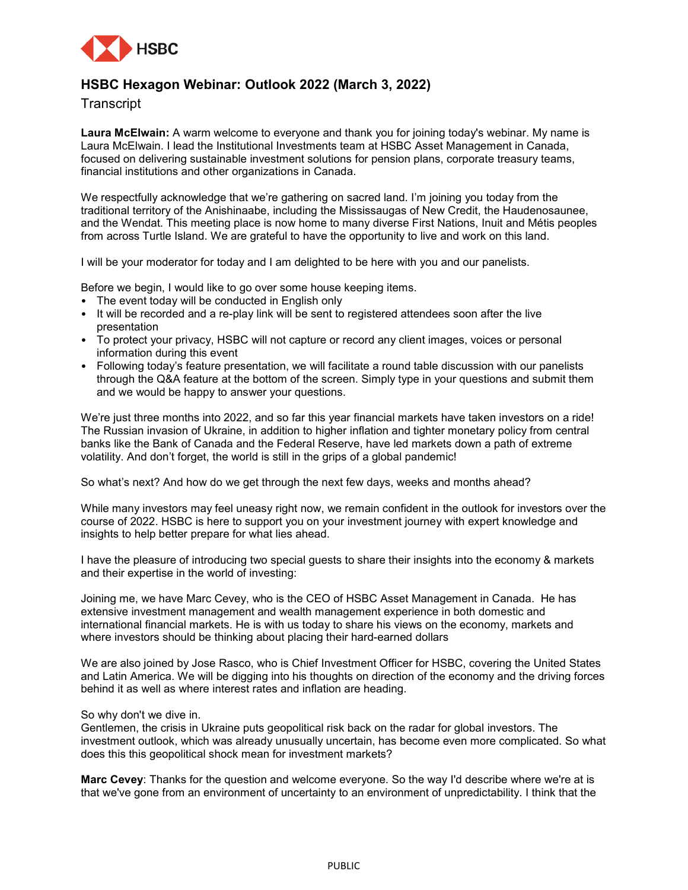

# **HSBC Hexagon Webinar: Outlook 2022 (March 3, 2022)**

**Transcript** 

**Laura McElwain:** A warm welcome to everyone and thank you for joining today's webinar. My name is Laura McElwain. I lead the Institutional Investments team at HSBC Asset Management in Canada, focused on delivering sustainable investment solutions for pension plans, corporate treasury teams, financial institutions and other organizations in Canada.

We respectfully acknowledge that we're gathering on sacred land. I'm joining you today from the traditional territory of the Anishinaabe, including the Mississaugas of New Credit, the Haudenosaunee, and the Wendat. This meeting place is now home to many diverse First Nations, Inuit and Métis peoples from across Turtle Island. We are grateful to have the opportunity to live and work on this land.

I will be your moderator for today and I am delighted to be here with you and our panelists.

Before we begin, I would like to go over some house keeping items.

- The event today will be conducted in English only
- It will be recorded and a re-play link will be sent to registered attendees soon after the live presentation
- To protect your privacy, HSBC will not capture or record any client images, voices or personal information during this event
- Following today's feature presentation, we will facilitate a round table discussion with our panelists through the Q&A feature at the bottom of the screen. Simply type in your questions and submit them and we would be happy to answer your questions.

We're just three months into 2022, and so far this year financial markets have taken investors on a ride! The Russian invasion of Ukraine, in addition to higher inflation and tighter monetary policy from central banks like the Bank of Canada and the Federal Reserve, have led markets down a path of extreme volatility. And don't forget, the world is still in the grips of a global pandemic!

So what's next? And how do we get through the next few days, weeks and months ahead?

While many investors may feel uneasy right now, we remain confident in the outlook for investors over the course of 2022. HSBC is here to support you on your investment journey with expert knowledge and insights to help better prepare for what lies ahead.

I have the pleasure of introducing two special guests to share their insights into the economy & markets and their expertise in the world of investing:

Joining me, we have Marc Cevey, who is the CEO of HSBC Asset Management in Canada. He has extensive investment management and wealth management experience in both domestic and international financial markets. He is with us today to share his views on the economy, markets and where investors should be thinking about placing their hard-earned dollars

We are also joined by Jose Rasco, who is Chief Investment Officer for HSBC, covering the United States and Latin America. We will be digging into his thoughts on direction of the economy and the driving forces behind it as well as where interest rates and inflation are heading.

#### So why don't we dive in.

Gentlemen, the crisis in Ukraine puts geopolitical risk back on the radar for global investors. The investment outlook, which was already unusually uncertain, has become even more complicated. So what does this this geopolitical shock mean for investment markets?

**Marc Cevey**: Thanks for the question and welcome everyone. So the way I'd describe where we're at is that we've gone from an environment of uncertainty to an environment of unpredictability. I think that the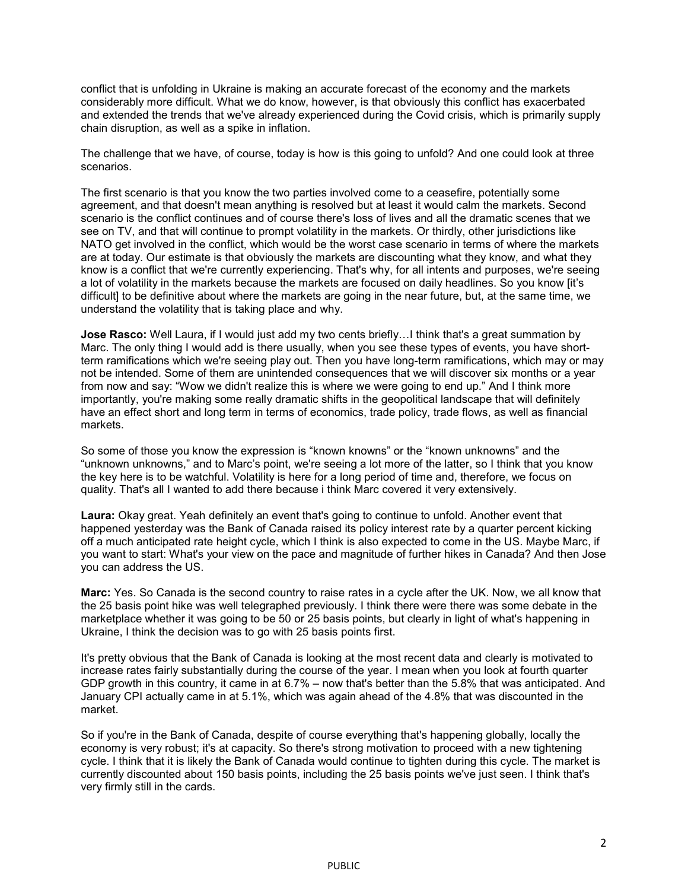conflict that is unfolding in Ukraine is making an accurate forecast of the economy and the markets considerably more difficult. What we do know, however, is that obviously this conflict has exacerbated and extended the trends that we've already experienced during the Covid crisis, which is primarily supply chain disruption, as well as a spike in inflation.

The challenge that we have, of course, today is how is this going to unfold? And one could look at three scenarios.

The first scenario is that you know the two parties involved come to a ceasefire, potentially some agreement, and that doesn't mean anything is resolved but at least it would calm the markets. Second scenario is the conflict continues and of course there's loss of lives and all the dramatic scenes that we see on TV, and that will continue to prompt volatility in the markets. Or thirdly, other jurisdictions like NATO get involved in the conflict, which would be the worst case scenario in terms of where the markets are at today. Our estimate is that obviously the markets are discounting what they know, and what they know is a conflict that we're currently experiencing. That's why, for all intents and purposes, we're seeing a lot of volatility in the markets because the markets are focused on daily headlines. So you know [it's difficult] to be definitive about where the markets are going in the near future, but, at the same time, we understand the volatility that is taking place and why.

**Jose Rasco:** Well Laura, if I would just add my two cents briefly...I think that's a great summation by Marc. The only thing I would add is there usually, when you see these types of events, you have shortterm ramifications which we're seeing play out. Then you have long-term ramifications, which may or may not be intended. Some of them are unintended consequences that we will discover six months or a year from now and say: "Wow we didn't realize this is where we were going to end up." And I think more importantly, you're making some really dramatic shifts in the geopolitical landscape that will definitely have an effect short and long term in terms of economics, trade policy, trade flows, as well as financial markets.

So some of those you know the expression is "known knowns" or the "known unknowns" and the "unknown unknowns," and to Marc's point, we're seeing a lot more of the latter, so I think that you know the key here is to be watchful. Volatility is here for a long period of time and, therefore, we focus on quality. That's all I wanted to add there because i think Marc covered it very extensively.

**Laura:** Okay great. Yeah definitely an event that's going to continue to unfold. Another event that happened yesterday was the Bank of Canada raised its policy interest rate by a quarter percent kicking off a much anticipated rate height cycle, which I think is also expected to come in the US. Maybe Marc, if you want to start: What's your view on the pace and magnitude of further hikes in Canada? And then Jose you can address the US.

**Marc:** Yes. So Canada is the second country to raise rates in a cycle after the UK. Now, we all know that the 25 basis point hike was well telegraphed previously. I think there were there was some debate in the marketplace whether it was going to be 50 or 25 basis points, but clearly in light of what's happening in Ukraine, I think the decision was to go with 25 basis points first.

It's pretty obvious that the Bank of Canada is looking at the most recent data and clearly is motivated to increase rates fairly substantially during the course of the year. I mean when you look at fourth quarter GDP growth in this country, it came in at 6.7% – now that's better than the 5.8% that was anticipated. And January CPI actually came in at 5.1%, which was again ahead of the 4.8% that was discounted in the market.

So if you're in the Bank of Canada, despite of course everything that's happening globally, locally the economy is very robust; it's at capacity. So there's strong motivation to proceed with a new tightening cycle. I think that it is likely the Bank of Canada would continue to tighten during this cycle. The market is currently discounted about 150 basis points, including the 25 basis points we've just seen. I think that's very firmly still in the cards.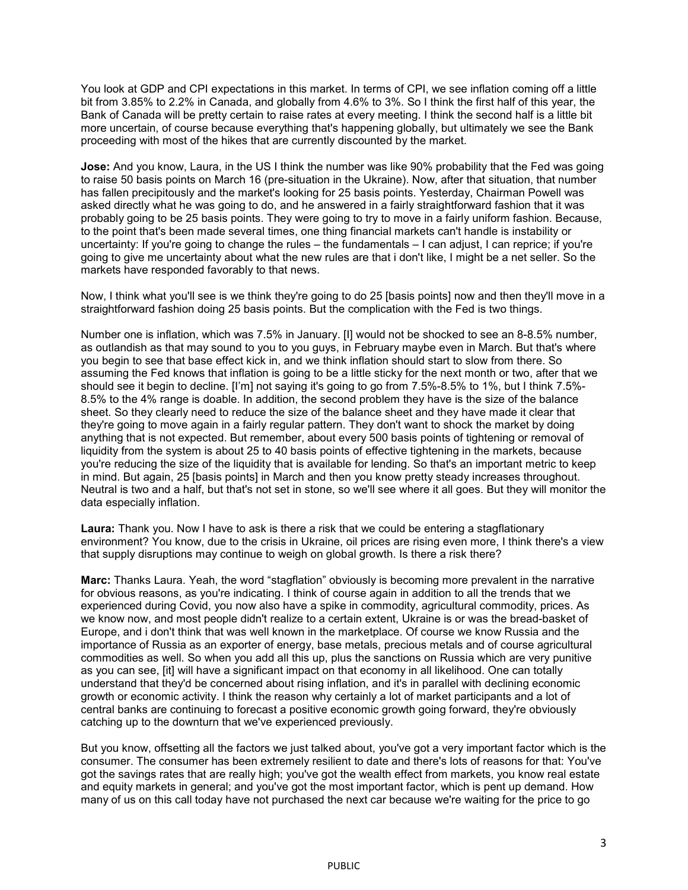You look at GDP and CPI expectations in this market. In terms of CPI, we see inflation coming off a little bit from 3.85% to 2.2% in Canada, and globally from 4.6% to 3%. So I think the first half of this year, the Bank of Canada will be pretty certain to raise rates at every meeting. I think the second half is a little bit more uncertain, of course because everything that's happening globally, but ultimately we see the Bank proceeding with most of the hikes that are currently discounted by the market.

**Jose:** And you know, Laura, in the US I think the number was like 90% probability that the Fed was going to raise 50 basis points on March 16 (pre-situation in the Ukraine). Now, after that situation, that number has fallen precipitously and the market's looking for 25 basis points. Yesterday, Chairman Powell was asked directly what he was going to do, and he answered in a fairly straightforward fashion that it was probably going to be 25 basis points. They were going to try to move in a fairly uniform fashion. Because, to the point that's been made several times, one thing financial markets can't handle is instability or uncertainty: If you're going to change the rules – the fundamentals – I can adjust, I can reprice; if you're going to give me uncertainty about what the new rules are that i don't like, I might be a net seller. So the markets have responded favorably to that news.

Now, I think what you'll see is we think they're going to do 25 [basis points] now and then they'll move in a straightforward fashion doing 25 basis points. But the complication with the Fed is two things.

Number one is inflation, which was 7.5% in January. [I] would not be shocked to see an 8-8.5% number, as outlandish as that may sound to you to you guys, in February maybe even in March. But that's where you begin to see that base effect kick in, and we think inflation should start to slow from there. So assuming the Fed knows that inflation is going to be a little sticky for the next month or two, after that we should see it begin to decline. [I'm] not saying it's going to go from 7.5%-8.5% to 1%, but I think 7.5%- 8.5% to the 4% range is doable. In addition, the second problem they have is the size of the balance sheet. So they clearly need to reduce the size of the balance sheet and they have made it clear that they're going to move again in a fairly regular pattern. They don't want to shock the market by doing anything that is not expected. But remember, about every 500 basis points of tightening or removal of liquidity from the system is about 25 to 40 basis points of effective tightening in the markets, because you're reducing the size of the liquidity that is available for lending. So that's an important metric to keep in mind. But again, 25 [basis points] in March and then you know pretty steady increases throughout. Neutral is two and a half, but that's not set in stone, so we'll see where it all goes. But they will monitor the data especially inflation.

**Laura:** Thank you. Now I have to ask is there a risk that we could be entering a stagflationary environment? You know, due to the crisis in Ukraine, oil prices are rising even more, I think there's a view that supply disruptions may continue to weigh on global growth. Is there a risk there?

**Marc:** Thanks Laura. Yeah, the word "stagflation" obviously is becoming more prevalent in the narrative for obvious reasons, as you're indicating. I think of course again in addition to all the trends that we experienced during Covid, you now also have a spike in commodity, agricultural commodity, prices. As we know now, and most people didn't realize to a certain extent, Ukraine is or was the bread-basket of Europe, and i don't think that was well known in the marketplace. Of course we know Russia and the importance of Russia as an exporter of energy, base metals, precious metals and of course agricultural commodities as well. So when you add all this up, plus the sanctions on Russia which are very punitive as you can see, [it] will have a significant impact on that economy in all likelihood. One can totally understand that they'd be concerned about rising inflation, and it's in parallel with declining economic growth or economic activity. I think the reason why certainly a lot of market participants and a lot of central banks are continuing to forecast a positive economic growth going forward, they're obviously catching up to the downturn that we've experienced previously.

But you know, offsetting all the factors we just talked about, you've got a very important factor which is the consumer. The consumer has been extremely resilient to date and there's lots of reasons for that: You've got the savings rates that are really high; you've got the wealth effect from markets, you know real estate and equity markets in general; and you've got the most important factor, which is pent up demand. How many of us on this call today have not purchased the next car because we're waiting for the price to go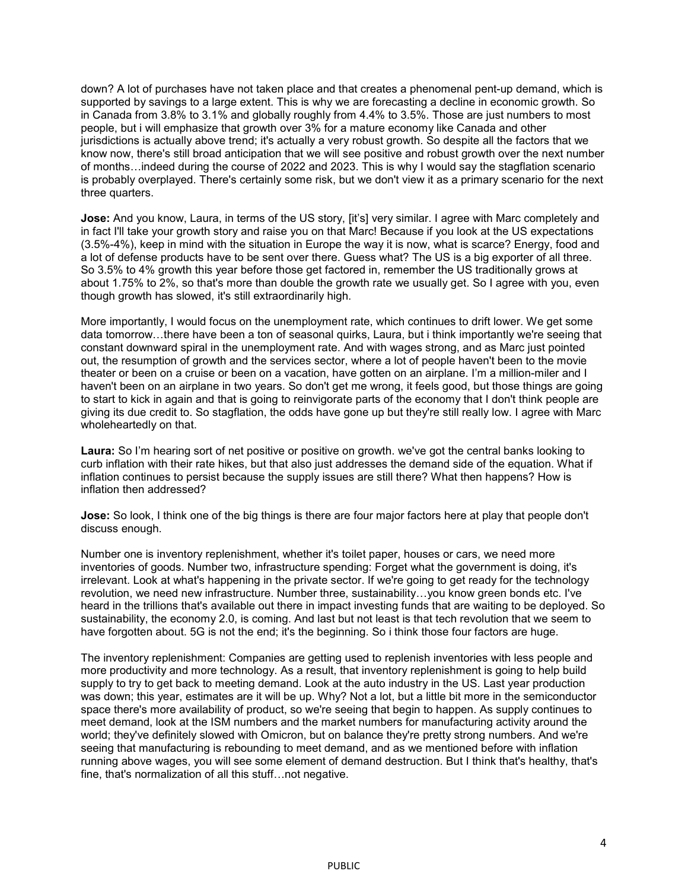down? A lot of purchases have not taken place and that creates a phenomenal pent-up demand, which is supported by savings to a large extent. This is why we are forecasting a decline in economic growth. So in Canada from 3.8% to 3.1% and globally roughly from 4.4% to 3.5%. Those are just numbers to most people, but i will emphasize that growth over 3% for a mature economy like Canada and other jurisdictions is actually above trend; it's actually a very robust growth. So despite all the factors that we know now, there's still broad anticipation that we will see positive and robust growth over the next number of months…indeed during the course of 2022 and 2023. This is why I would say the stagflation scenario is probably overplayed. There's certainly some risk, but we don't view it as a primary scenario for the next three quarters.

**Jose:** And you know, Laura, in terms of the US story, [it's] very similar. I agree with Marc completely and in fact I'll take your growth story and raise you on that Marc! Because if you look at the US expectations (3.5%-4%), keep in mind with the situation in Europe the way it is now, what is scarce? Energy, food and a lot of defense products have to be sent over there. Guess what? The US is a big exporter of all three. So 3.5% to 4% growth this year before those get factored in, remember the US traditionally grows at about 1.75% to 2%, so that's more than double the growth rate we usually get. So I agree with you, even though growth has slowed, it's still extraordinarily high.

More importantly, I would focus on the unemployment rate, which continues to drift lower. We get some data tomorrow…there have been a ton of seasonal quirks, Laura, but i think importantly we're seeing that constant downward spiral in the unemployment rate. And with wages strong, and as Marc just pointed out, the resumption of growth and the services sector, where a lot of people haven't been to the movie theater or been on a cruise or been on a vacation, have gotten on an airplane. I'm a million-miler and I haven't been on an airplane in two years. So don't get me wrong, it feels good, but those things are going to start to kick in again and that is going to reinvigorate parts of the economy that I don't think people are giving its due credit to. So stagflation, the odds have gone up but they're still really low. I agree with Marc wholeheartedly on that.

**Laura:** So I'm hearing sort of net positive or positive on growth. we've got the central banks looking to curb inflation with their rate hikes, but that also just addresses the demand side of the equation. What if inflation continues to persist because the supply issues are still there? What then happens? How is inflation then addressed?

**Jose:** So look, I think one of the big things is there are four major factors here at play that people don't discuss enough.

Number one is inventory replenishment, whether it's toilet paper, houses or cars, we need more inventories of goods. Number two, infrastructure spending: Forget what the government is doing, it's irrelevant. Look at what's happening in the private sector. If we're going to get ready for the technology revolution, we need new infrastructure. Number three, sustainability…you know green bonds etc. I've heard in the trillions that's available out there in impact investing funds that are waiting to be deployed. So sustainability, the economy 2.0, is coming. And last but not least is that tech revolution that we seem to have forgotten about. 5G is not the end; it's the beginning. So i think those four factors are huge.

The inventory replenishment: Companies are getting used to replenish inventories with less people and more productivity and more technology. As a result, that inventory replenishment is going to help build supply to try to get back to meeting demand. Look at the auto industry in the US. Last year production was down; this year, estimates are it will be up. Why? Not a lot, but a little bit more in the semiconductor space there's more availability of product, so we're seeing that begin to happen. As supply continues to meet demand, look at the ISM numbers and the market numbers for manufacturing activity around the world; they've definitely slowed with Omicron, but on balance they're pretty strong numbers. And we're seeing that manufacturing is rebounding to meet demand, and as we mentioned before with inflation running above wages, you will see some element of demand destruction. But I think that's healthy, that's fine, that's normalization of all this stuff…not negative.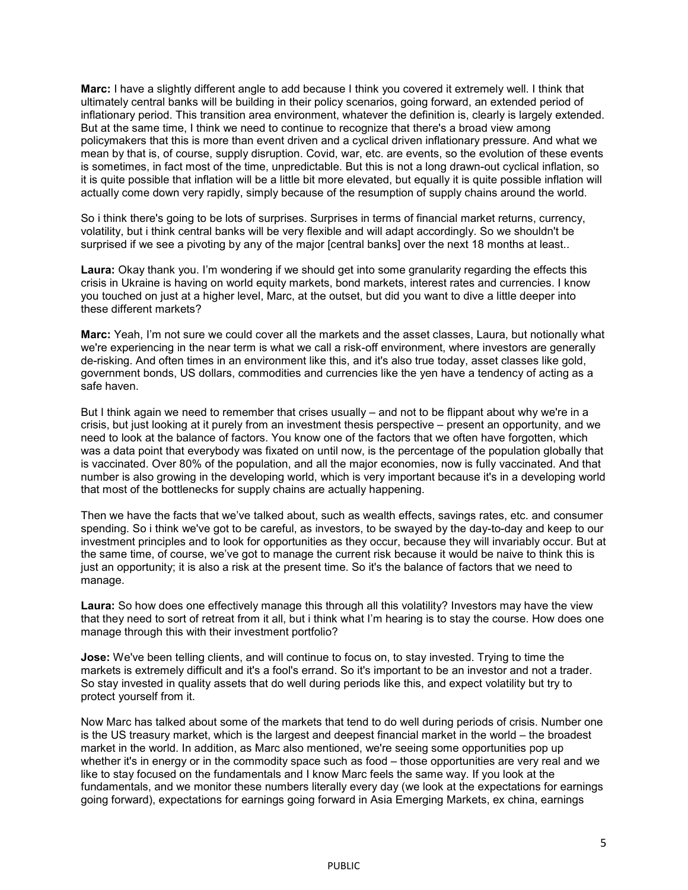**Marc:** I have a slightly different angle to add because I think you covered it extremely well. I think that ultimately central banks will be building in their policy scenarios, going forward, an extended period of inflationary period. This transition area environment, whatever the definition is, clearly is largely extended. But at the same time, I think we need to continue to recognize that there's a broad view among policymakers that this is more than event driven and a cyclical driven inflationary pressure. And what we mean by that is, of course, supply disruption. Covid, war, etc. are events, so the evolution of these events is sometimes, in fact most of the time, unpredictable. But this is not a long drawn-out cyclical inflation, so it is quite possible that inflation will be a little bit more elevated, but equally it is quite possible inflation will actually come down very rapidly, simply because of the resumption of supply chains around the world.

So i think there's going to be lots of surprises. Surprises in terms of financial market returns, currency, volatility, but i think central banks will be very flexible and will adapt accordingly. So we shouldn't be surprised if we see a pivoting by any of the major [central banks] over the next 18 months at least..

**Laura:** Okay thank you. I'm wondering if we should get into some granularity regarding the effects this crisis in Ukraine is having on world equity markets, bond markets, interest rates and currencies. I know you touched on just at a higher level, Marc, at the outset, but did you want to dive a little deeper into these different markets?

**Marc:** Yeah, I'm not sure we could cover all the markets and the asset classes, Laura, but notionally what we're experiencing in the near term is what we call a risk-off environment, where investors are generally de-risking. And often times in an environment like this, and it's also true today, asset classes like gold, government bonds, US dollars, commodities and currencies like the yen have a tendency of acting as a safe haven.

But I think again we need to remember that crises usually – and not to be flippant about why we're in a crisis, but just looking at it purely from an investment thesis perspective – present an opportunity, and we need to look at the balance of factors. You know one of the factors that we often have forgotten, which was a data point that everybody was fixated on until now, is the percentage of the population globally that is vaccinated. Over 80% of the population, and all the major economies, now is fully vaccinated. And that number is also growing in the developing world, which is very important because it's in a developing world that most of the bottlenecks for supply chains are actually happening.

Then we have the facts that we've talked about, such as wealth effects, savings rates, etc. and consumer spending. So i think we've got to be careful, as investors, to be swayed by the day-to-day and keep to our investment principles and to look for opportunities as they occur, because they will invariably occur. But at the same time, of course, we've got to manage the current risk because it would be naive to think this is just an opportunity; it is also a risk at the present time. So it's the balance of factors that we need to manage.

**Laura:** So how does one effectively manage this through all this volatility? Investors may have the view that they need to sort of retreat from it all, but i think what I'm hearing is to stay the course. How does one manage through this with their investment portfolio?

**Jose:** We've been telling clients, and will continue to focus on, to stay invested. Trying to time the markets is extremely difficult and it's a fool's errand. So it's important to be an investor and not a trader. So stay invested in quality assets that do well during periods like this, and expect volatility but try to protect yourself from it.

Now Marc has talked about some of the markets that tend to do well during periods of crisis. Number one is the US treasury market, which is the largest and deepest financial market in the world – the broadest market in the world. In addition, as Marc also mentioned, we're seeing some opportunities pop up whether it's in energy or in the commodity space such as food – those opportunities are very real and we like to stay focused on the fundamentals and I know Marc feels the same way. If you look at the fundamentals, and we monitor these numbers literally every day (we look at the expectations for earnings going forward), expectations for earnings going forward in Asia Emerging Markets, ex china, earnings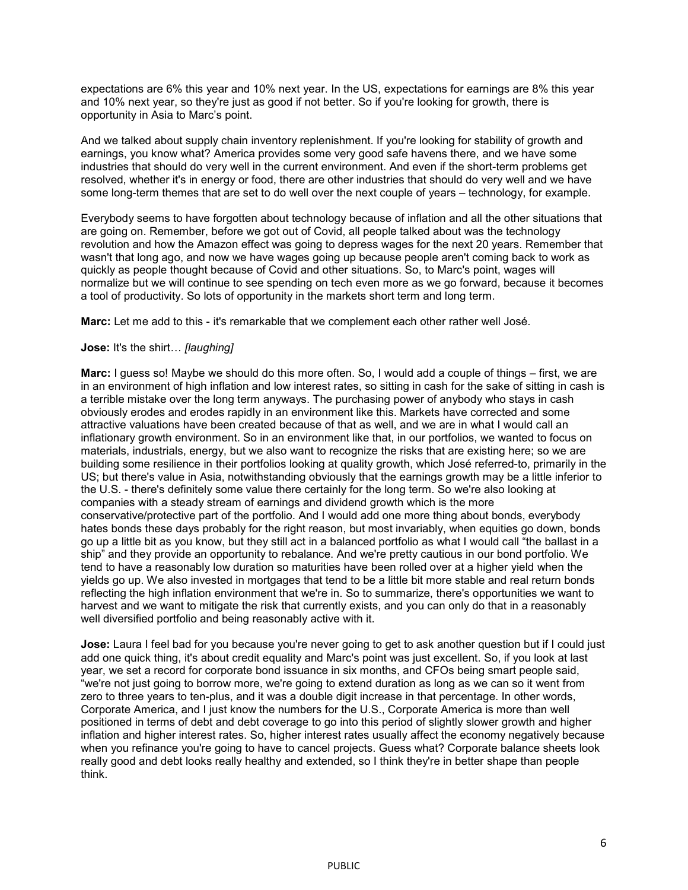expectations are 6% this year and 10% next year. In the US, expectations for earnings are 8% this year and 10% next year, so they're just as good if not better. So if you're looking for growth, there is opportunity in Asia to Marc's point.

And we talked about supply chain inventory replenishment. If you're looking for stability of growth and earnings, you know what? America provides some very good safe havens there, and we have some industries that should do very well in the current environment. And even if the short-term problems get resolved, whether it's in energy or food, there are other industries that should do very well and we have some long-term themes that are set to do well over the next couple of years – technology, for example.

Everybody seems to have forgotten about technology because of inflation and all the other situations that are going on. Remember, before we got out of Covid, all people talked about was the technology revolution and how the Amazon effect was going to depress wages for the next 20 years. Remember that wasn't that long ago, and now we have wages going up because people aren't coming back to work as quickly as people thought because of Covid and other situations. So, to Marc's point, wages will normalize but we will continue to see spending on tech even more as we go forward, because it becomes a tool of productivity. So lots of opportunity in the markets short term and long term.

**Marc:** Let me add to this - it's remarkable that we complement each other rather well José.

# **Jose:** It's the shirt… *[laughing]*

**Marc:** I guess so! Maybe we should do this more often. So, I would add a couple of things – first, we are in an environment of high inflation and low interest rates, so sitting in cash for the sake of sitting in cash is a terrible mistake over the long term anyways. The purchasing power of anybody who stays in cash obviously erodes and erodes rapidly in an environment like this. Markets have corrected and some attractive valuations have been created because of that as well, and we are in what I would call an inflationary growth environment. So in an environment like that, in our portfolios, we wanted to focus on materials, industrials, energy, but we also want to recognize the risks that are existing here; so we are building some resilience in their portfolios looking at quality growth, which José referred-to, primarily in the US; but there's value in Asia, notwithstanding obviously that the earnings growth may be a little inferior to the U.S. - there's definitely some value there certainly for the long term. So we're also looking at companies with a steady stream of earnings and dividend growth which is the more conservative/protective part of the portfolio. And I would add one more thing about bonds, everybody hates bonds these days probably for the right reason, but most invariably, when equities go down, bonds go up a little bit as you know, but they still act in a balanced portfolio as what I would call "the ballast in a ship" and they provide an opportunity to rebalance. And we're pretty cautious in our bond portfolio. We tend to have a reasonably low duration so maturities have been rolled over at a higher yield when the yields go up. We also invested in mortgages that tend to be a little bit more stable and real return bonds reflecting the high inflation environment that we're in. So to summarize, there's opportunities we want to harvest and we want to mitigate the risk that currently exists, and you can only do that in a reasonably well diversified portfolio and being reasonably active with it.

**Jose:** Laura I feel bad for you because you're never going to get to ask another question but if I could just add one quick thing, it's about credit equality and Marc's point was just excellent. So, if you look at last year, we set a record for corporate bond issuance in six months, and CFOs being smart people said, "we're not just going to borrow more, we're going to extend duration as long as we can so it went from zero to three years to ten-plus, and it was a double digit increase in that percentage. In other words, Corporate America, and I just know the numbers for the U.S., Corporate America is more than well positioned in terms of debt and debt coverage to go into this period of slightly slower growth and higher inflation and higher interest rates. So, higher interest rates usually affect the economy negatively because when you refinance you're going to have to cancel projects. Guess what? Corporate balance sheets look really good and debt looks really healthy and extended, so I think they're in better shape than people think.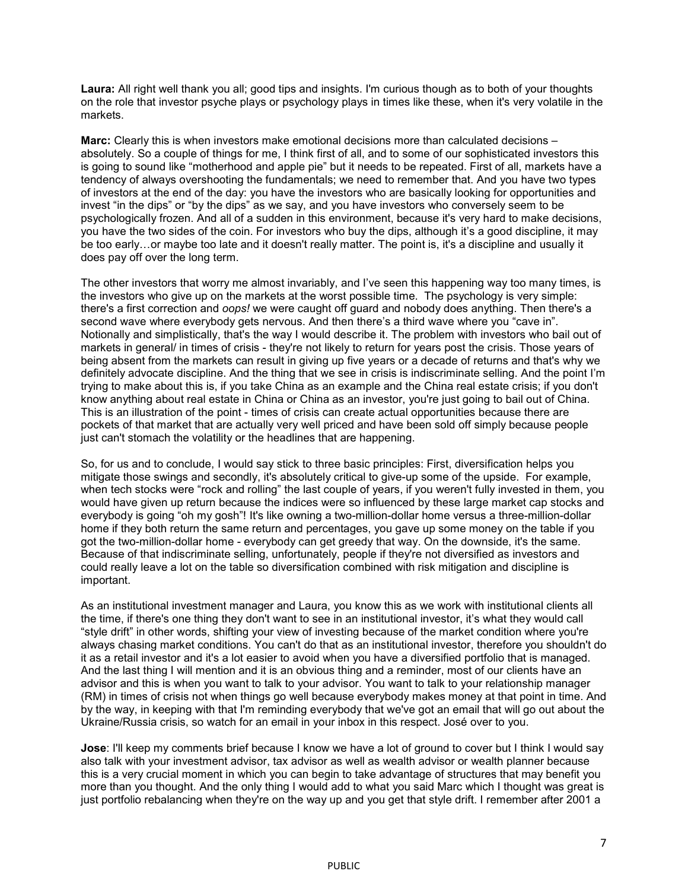**Laura:** All right well thank you all; good tips and insights. I'm curious though as to both of your thoughts on the role that investor psyche plays or psychology plays in times like these, when it's very volatile in the markets.

**Marc:** Clearly this is when investors make emotional decisions more than calculated decisions – absolutely. So a couple of things for me, I think first of all, and to some of our sophisticated investors this is going to sound like "motherhood and apple pie" but it needs to be repeated. First of all, markets have a tendency of always overshooting the fundamentals; we need to remember that. And you have two types of investors at the end of the day: you have the investors who are basically looking for opportunities and invest "in the dips" or "by the dips" as we say, and you have investors who conversely seem to be psychologically frozen. And all of a sudden in this environment, because it's very hard to make decisions, you have the two sides of the coin. For investors who buy the dips, although it's a good discipline, it may be too early…or maybe too late and it doesn't really matter. The point is, it's a discipline and usually it does pay off over the long term.

The other investors that worry me almost invariably, and I've seen this happening way too many times, is the investors who give up on the markets at the worst possible time. The psychology is very simple: there's a first correction and *oops!* we were caught off guard and nobody does anything. Then there's a second wave where everybody gets nervous. And then there's a third wave where you "cave in". Notionally and simplistically, that's the way I would describe it. The problem with investors who bail out of markets in general/ in times of crisis - they're not likely to return for years post the crisis. Those years of being absent from the markets can result in giving up five years or a decade of returns and that's why we definitely advocate discipline. And the thing that we see in crisis is indiscriminate selling. And the point I'm trying to make about this is, if you take China as an example and the China real estate crisis; if you don't know anything about real estate in China or China as an investor, you're just going to bail out of China. This is an illustration of the point - times of crisis can create actual opportunities because there are pockets of that market that are actually very well priced and have been sold off simply because people just can't stomach the volatility or the headlines that are happening.

So, for us and to conclude, I would say stick to three basic principles: First, diversification helps you mitigate those swings and secondly, it's absolutely critical to give-up some of the upside. For example, when tech stocks were "rock and rolling" the last couple of years, if you weren't fully invested in them, you would have given up return because the indices were so influenced by these large market cap stocks and everybody is going "oh my gosh"! It's like owning a two-million-dollar home versus a three-million-dollar home if they both return the same return and percentages, you gave up some money on the table if you got the two-million-dollar home - everybody can get greedy that way. On the downside, it's the same. Because of that indiscriminate selling, unfortunately, people if they're not diversified as investors and could really leave a lot on the table so diversification combined with risk mitigation and discipline is important.

As an institutional investment manager and Laura, you know this as we work with institutional clients all the time, if there's one thing they don't want to see in an institutional investor, it's what they would call "style drift" in other words, shifting your view of investing because of the market condition where you're always chasing market conditions. You can't do that as an institutional investor, therefore you shouldn't do it as a retail investor and it's a lot easier to avoid when you have a diversified portfolio that is managed. And the last thing I will mention and it is an obvious thing and a reminder, most of our clients have an advisor and this is when you want to talk to your advisor. You want to talk to your relationship manager (RM) in times of crisis not when things go well because everybody makes money at that point in time. And by the way, in keeping with that I'm reminding everybody that we've got an email that will go out about the Ukraine/Russia crisis, so watch for an email in your inbox in this respect. José over to you.

**Jose**: I'll keep my comments brief because I know we have a lot of ground to cover but I think I would say also talk with your investment advisor, tax advisor as well as wealth advisor or wealth planner because this is a very crucial moment in which you can begin to take advantage of structures that may benefit you more than you thought. And the only thing I would add to what you said Marc which I thought was great is just portfolio rebalancing when they're on the way up and you get that style drift. I remember after 2001 a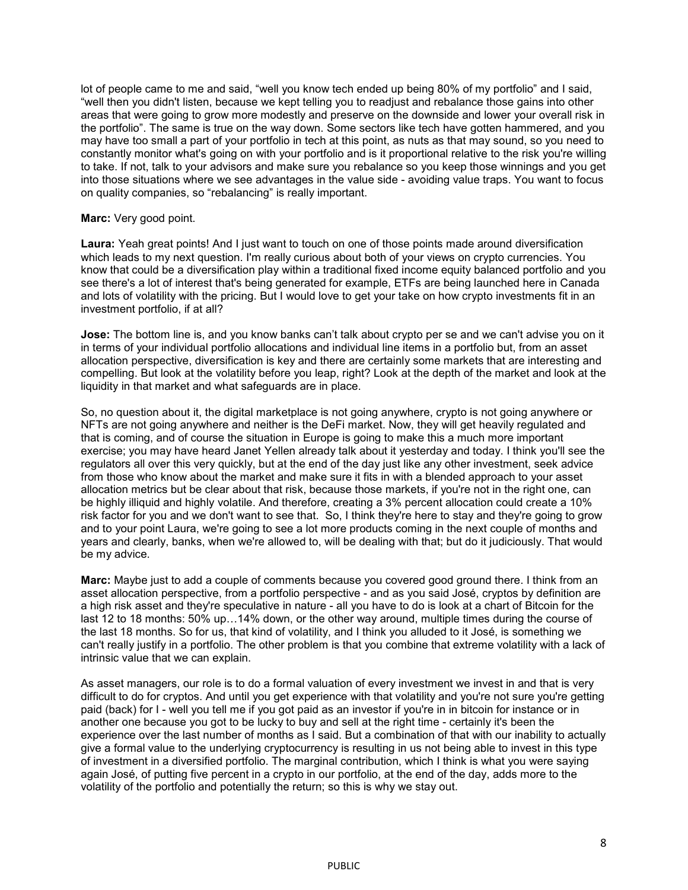lot of people came to me and said, "well you know tech ended up being 80% of my portfolio" and I said, "well then you didn't listen, because we kept telling you to readjust and rebalance those gains into other areas that were going to grow more modestly and preserve on the downside and lower your overall risk in the portfolio". The same is true on the way down. Some sectors like tech have gotten hammered, and you may have too small a part of your portfolio in tech at this point, as nuts as that may sound, so you need to constantly monitor what's going on with your portfolio and is it proportional relative to the risk you're willing to take. If not, talk to your advisors and make sure you rebalance so you keep those winnings and you get into those situations where we see advantages in the value side - avoiding value traps. You want to focus on quality companies, so "rebalancing" is really important.

### **Marc:** Very good point.

**Laura:** Yeah great points! And I just want to touch on one of those points made around diversification which leads to my next question. I'm really curious about both of your views on crypto currencies. You know that could be a diversification play within a traditional fixed income equity balanced portfolio and you see there's a lot of interest that's being generated for example, ETFs are being launched here in Canada and lots of volatility with the pricing. But I would love to get your take on how crypto investments fit in an investment portfolio, if at all?

**Jose:** The bottom line is, and you know banks can't talk about crypto per se and we can't advise you on it in terms of your individual portfolio allocations and individual line items in a portfolio but, from an asset allocation perspective, diversification is key and there are certainly some markets that are interesting and compelling. But look at the volatility before you leap, right? Look at the depth of the market and look at the liquidity in that market and what safeguards are in place.

So, no question about it, the digital marketplace is not going anywhere, crypto is not going anywhere or NFTs are not going anywhere and neither is the DeFi market. Now, they will get heavily regulated and that is coming, and of course the situation in Europe is going to make this a much more important exercise; you may have heard Janet Yellen already talk about it yesterday and today. I think you'll see the regulators all over this very quickly, but at the end of the day just like any other investment, seek advice from those who know about the market and make sure it fits in with a blended approach to your asset allocation metrics but be clear about that risk, because those markets, if you're not in the right one, can be highly illiquid and highly volatile. And therefore, creating a 3% percent allocation could create a 10% risk factor for you and we don't want to see that. So, I think they're here to stay and they're going to grow and to your point Laura, we're going to see a lot more products coming in the next couple of months and years and clearly, banks, when we're allowed to, will be dealing with that; but do it judiciously. That would be my advice.

**Marc:** Maybe just to add a couple of comments because you covered good ground there. I think from an asset allocation perspective, from a portfolio perspective - and as you said José, cryptos by definition are a high risk asset and they're speculative in nature - all you have to do is look at a chart of Bitcoin for the last 12 to 18 months: 50% up…14% down, or the other way around, multiple times during the course of the last 18 months. So for us, that kind of volatility, and I think you alluded to it José, is something we can't really justify in a portfolio. The other problem is that you combine that extreme volatility with a lack of intrinsic value that we can explain.

As asset managers, our role is to do a formal valuation of every investment we invest in and that is very difficult to do for cryptos. And until you get experience with that volatility and you're not sure you're getting paid (back) for I - well you tell me if you got paid as an investor if you're in in bitcoin for instance or in another one because you got to be lucky to buy and sell at the right time - certainly it's been the experience over the last number of months as I said. But a combination of that with our inability to actually give a formal value to the underlying cryptocurrency is resulting in us not being able to invest in this type of investment in a diversified portfolio. The marginal contribution, which I think is what you were saying again José, of putting five percent in a crypto in our portfolio, at the end of the day, adds more to the volatility of the portfolio and potentially the return; so this is why we stay out.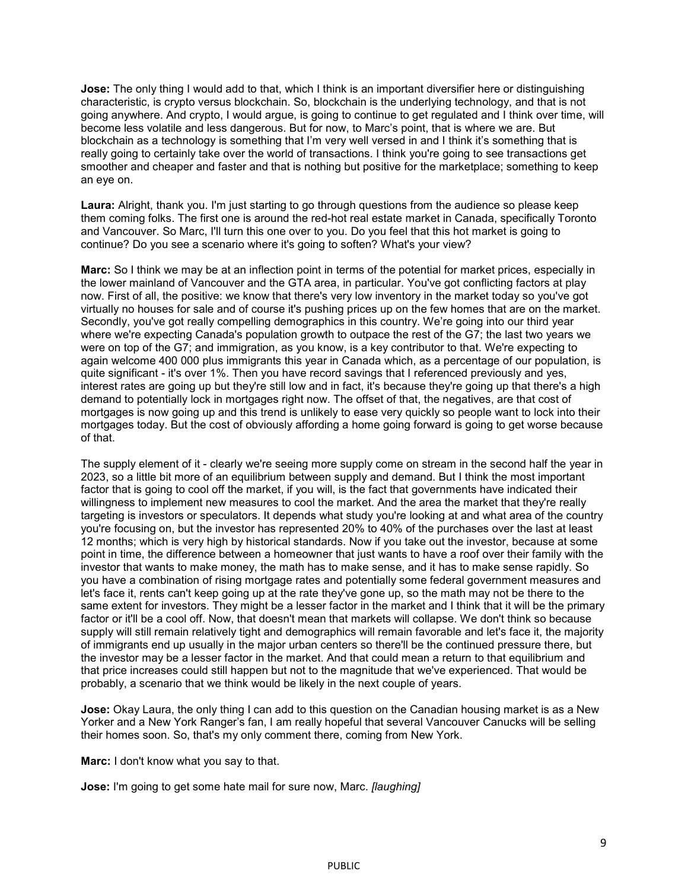**Jose:** The only thing I would add to that, which I think is an important diversifier here or distinguishing characteristic, is crypto versus blockchain. So, blockchain is the underlying technology, and that is not going anywhere. And crypto, I would argue, is going to continue to get regulated and I think over time, will become less volatile and less dangerous. But for now, to Marc's point, that is where we are. But blockchain as a technology is something that I'm very well versed in and I think it's something that is really going to certainly take over the world of transactions. I think you're going to see transactions get smoother and cheaper and faster and that is nothing but positive for the marketplace; something to keep an eye on.

**Laura:** Alright, thank you. I'm just starting to go through questions from the audience so please keep them coming folks. The first one is around the red-hot real estate market in Canada, specifically Toronto and Vancouver. So Marc, I'll turn this one over to you. Do you feel that this hot market is going to continue? Do you see a scenario where it's going to soften? What's your view?

**Marc:** So I think we may be at an inflection point in terms of the potential for market prices, especially in the lower mainland of Vancouver and the GTA area, in particular. You've got conflicting factors at play now. First of all, the positive: we know that there's very low inventory in the market today so you've got virtually no houses for sale and of course it's pushing prices up on the few homes that are on the market. Secondly, you've got really compelling demographics in this country. We're going into our third year where we're expecting Canada's population growth to outpace the rest of the G7; the last two years we were on top of the G7; and immigration, as you know, is a key contributor to that. We're expecting to again welcome 400 000 plus immigrants this year in Canada which, as a percentage of our population, is quite significant - it's over 1%. Then you have record savings that I referenced previously and yes, interest rates are going up but they're still low and in fact, it's because they're going up that there's a high demand to potentially lock in mortgages right now. The offset of that, the negatives, are that cost of mortgages is now going up and this trend is unlikely to ease very quickly so people want to lock into their mortgages today. But the cost of obviously affording a home going forward is going to get worse because of that.

The supply element of it - clearly we're seeing more supply come on stream in the second half the year in 2023, so a little bit more of an equilibrium between supply and demand. But I think the most important factor that is going to cool off the market, if you will, is the fact that governments have indicated their willingness to implement new measures to cool the market. And the area the market that they're really targeting is investors or speculators. It depends what study you're looking at and what area of the country you're focusing on, but the investor has represented 20% to 40% of the purchases over the last at least 12 months; which is very high by historical standards. Now if you take out the investor, because at some point in time, the difference between a homeowner that just wants to have a roof over their family with the investor that wants to make money, the math has to make sense, and it has to make sense rapidly. So you have a combination of rising mortgage rates and potentially some federal government measures and let's face it, rents can't keep going up at the rate they've gone up, so the math may not be there to the same extent for investors. They might be a lesser factor in the market and I think that it will be the primary factor or it'll be a cool off. Now, that doesn't mean that markets will collapse. We don't think so because supply will still remain relatively tight and demographics will remain favorable and let's face it, the majority of immigrants end up usually in the major urban centers so there'll be the continued pressure there, but the investor may be a lesser factor in the market. And that could mean a return to that equilibrium and that price increases could still happen but not to the magnitude that we've experienced. That would be probably, a scenario that we think would be likely in the next couple of years.

**Jose:** Okay Laura, the only thing I can add to this question on the Canadian housing market is as a New Yorker and a New York Ranger's fan, I am really hopeful that several Vancouver Canucks will be selling their homes soon. So, that's my only comment there, coming from New York.

**Marc:** I don't know what you say to that.

**Jose:** I'm going to get some hate mail for sure now, Marc. *[laughing]*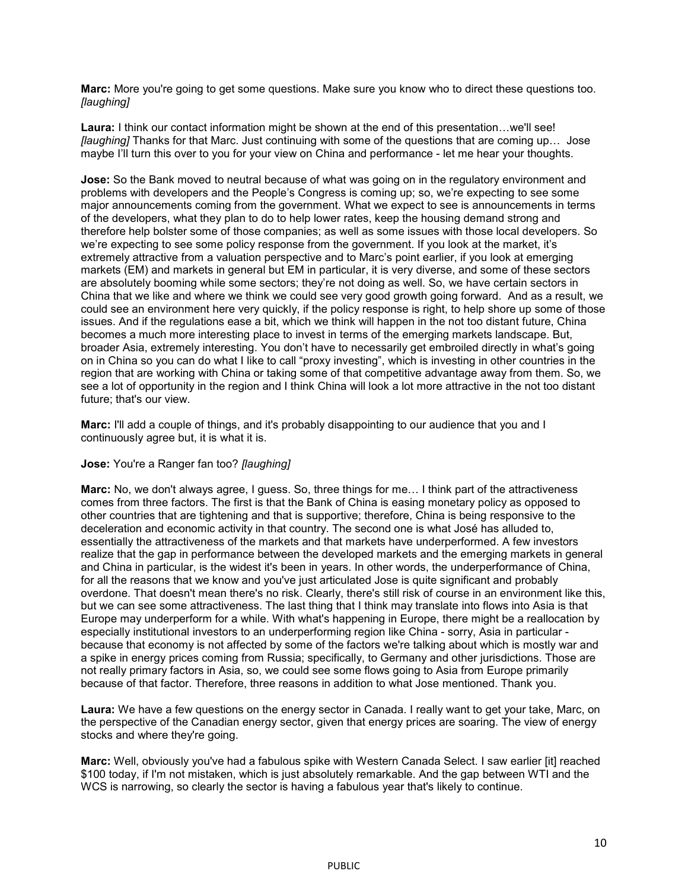**Marc:** More you're going to get some questions. Make sure you know who to direct these questions too. *[laughing]* 

**Laura:** I think our contact information might be shown at the end of this presentation…we'll see! *[laughing]* Thanks for that Marc. Just continuing with some of the questions that are coming up… Jose maybe I'll turn this over to you for your view on China and performance - let me hear your thoughts.

**Jose:** So the Bank moved to neutral because of what was going on in the regulatory environment and problems with developers and the People's Congress is coming up; so, we're expecting to see some major announcements coming from the government. What we expect to see is announcements in terms of the developers, what they plan to do to help lower rates, keep the housing demand strong and therefore help bolster some of those companies; as well as some issues with those local developers. So we're expecting to see some policy response from the government. If you look at the market, it's extremely attractive from a valuation perspective and to Marc's point earlier, if you look at emerging markets (EM) and markets in general but EM in particular, it is very diverse, and some of these sectors are absolutely booming while some sectors; they're not doing as well. So, we have certain sectors in China that we like and where we think we could see very good growth going forward. And as a result, we could see an environment here very quickly, if the policy response is right, to help shore up some of those issues. And if the regulations ease a bit, which we think will happen in the not too distant future, China becomes a much more interesting place to invest in terms of the emerging markets landscape. But, broader Asia, extremely interesting. You don't have to necessarily get embroiled directly in what's going on in China so you can do what I like to call "proxy investing", which is investing in other countries in the region that are working with China or taking some of that competitive advantage away from them. So, we see a lot of opportunity in the region and I think China will look a lot more attractive in the not too distant future; that's our view.

**Marc:** I'll add a couple of things, and it's probably disappointing to our audience that you and I continuously agree but, it is what it is.

#### **Jose:** You're a Ranger fan too? *[laughing]*

**Marc:** No, we don't always agree, I guess. So, three things for me… I think part of the attractiveness comes from three factors. The first is that the Bank of China is easing monetary policy as opposed to other countries that are tightening and that is supportive; therefore, China is being responsive to the deceleration and economic activity in that country. The second one is what José has alluded to, essentially the attractiveness of the markets and that markets have underperformed. A few investors realize that the gap in performance between the developed markets and the emerging markets in general and China in particular, is the widest it's been in years. In other words, the underperformance of China, for all the reasons that we know and you've just articulated Jose is quite significant and probably overdone. That doesn't mean there's no risk. Clearly, there's still risk of course in an environment like this, but we can see some attractiveness. The last thing that I think may translate into flows into Asia is that Europe may underperform for a while. With what's happening in Europe, there might be a reallocation by especially institutional investors to an underperforming region like China - sorry, Asia in particular because that economy is not affected by some of the factors we're talking about which is mostly war and a spike in energy prices coming from Russia; specifically, to Germany and other jurisdictions. Those are not really primary factors in Asia, so, we could see some flows going to Asia from Europe primarily because of that factor. Therefore, three reasons in addition to what Jose mentioned. Thank you.

**Laura:** We have a few questions on the energy sector in Canada. I really want to get your take, Marc, on the perspective of the Canadian energy sector, given that energy prices are soaring. The view of energy stocks and where they're going.

**Marc:** Well, obviously you've had a fabulous spike with Western Canada Select. I saw earlier [it] reached \$100 today, if I'm not mistaken, which is just absolutely remarkable. And the gap between WTI and the WCS is narrowing, so clearly the sector is having a fabulous year that's likely to continue.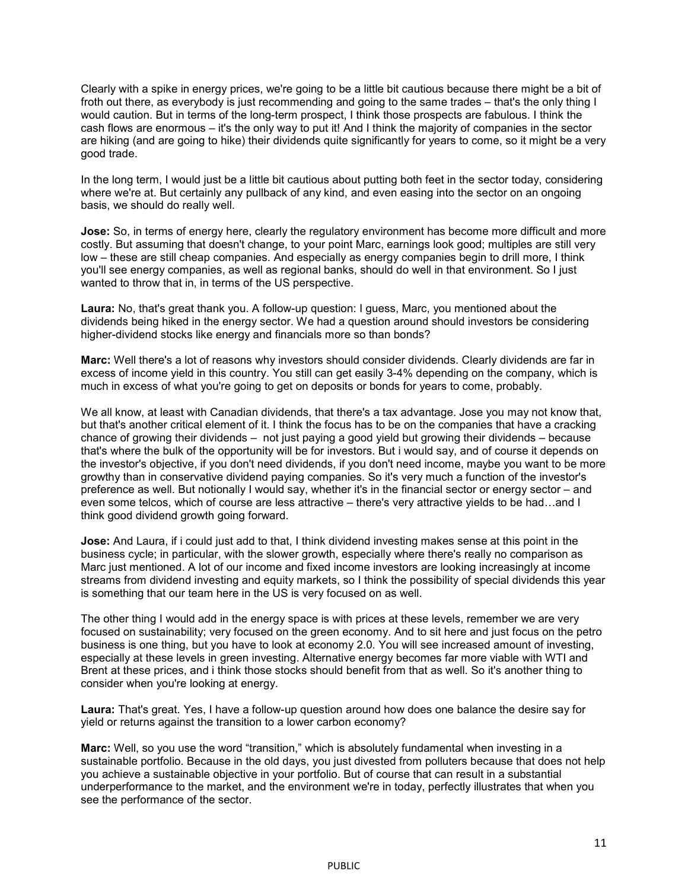Clearly with a spike in energy prices, we're going to be a little bit cautious because there might be a bit of froth out there, as everybody is just recommending and going to the same trades – that's the only thing I would caution. But in terms of the long-term prospect, I think those prospects are fabulous. I think the cash flows are enormous – it's the only way to put it! And I think the majority of companies in the sector are hiking (and are going to hike) their dividends quite significantly for years to come, so it might be a very good trade.

In the long term, I would just be a little bit cautious about putting both feet in the sector today, considering where we're at. But certainly any pullback of any kind, and even easing into the sector on an ongoing basis, we should do really well.

**Jose:** So, in terms of energy here, clearly the regulatory environment has become more difficult and more costly. But assuming that doesn't change, to your point Marc, earnings look good; multiples are still very low – these are still cheap companies. And especially as energy companies begin to drill more, I think you'll see energy companies, as well as regional banks, should do well in that environment. So I just wanted to throw that in, in terms of the US perspective.

**Laura:** No, that's great thank you. A follow-up question: I guess, Marc, you mentioned about the dividends being hiked in the energy sector. We had a question around should investors be considering higher-dividend stocks like energy and financials more so than bonds?

**Marc:** Well there's a lot of reasons why investors should consider dividends. Clearly dividends are far in excess of income yield in this country. You still can get easily 3-4% depending on the company, which is much in excess of what you're going to get on deposits or bonds for years to come, probably.

We all know, at least with Canadian dividends, that there's a tax advantage. Jose you may not know that, but that's another critical element of it. I think the focus has to be on the companies that have a cracking chance of growing their dividends – not just paying a good yield but growing their dividends – because that's where the bulk of the opportunity will be for investors. But i would say, and of course it depends on the investor's objective, if you don't need dividends, if you don't need income, maybe you want to be more growthy than in conservative dividend paying companies. So it's very much a function of the investor's preference as well. But notionally I would say, whether it's in the financial sector or energy sector – and even some telcos, which of course are less attractive – there's very attractive yields to be had…and I think good dividend growth going forward.

**Jose:** And Laura, if i could just add to that, I think dividend investing makes sense at this point in the business cycle; in particular, with the slower growth, especially where there's really no comparison as Marc just mentioned. A lot of our income and fixed income investors are looking increasingly at income streams from dividend investing and equity markets, so I think the possibility of special dividends this year is something that our team here in the US is very focused on as well.

The other thing I would add in the energy space is with prices at these levels, remember we are very focused on sustainability; very focused on the green economy. And to sit here and just focus on the petro business is one thing, but you have to look at economy 2.0. You will see increased amount of investing, especially at these levels in green investing. Alternative energy becomes far more viable with WTI and Brent at these prices, and i think those stocks should benefit from that as well. So it's another thing to consider when you're looking at energy.

**Laura:** That's great. Yes, I have a follow-up question around how does one balance the desire say for yield or returns against the transition to a lower carbon economy?

**Marc:** Well, so you use the word "transition," which is absolutely fundamental when investing in a sustainable portfolio. Because in the old days, you just divested from polluters because that does not help you achieve a sustainable objective in your portfolio. But of course that can result in a substantial underperformance to the market, and the environment we're in today, perfectly illustrates that when you see the performance of the sector.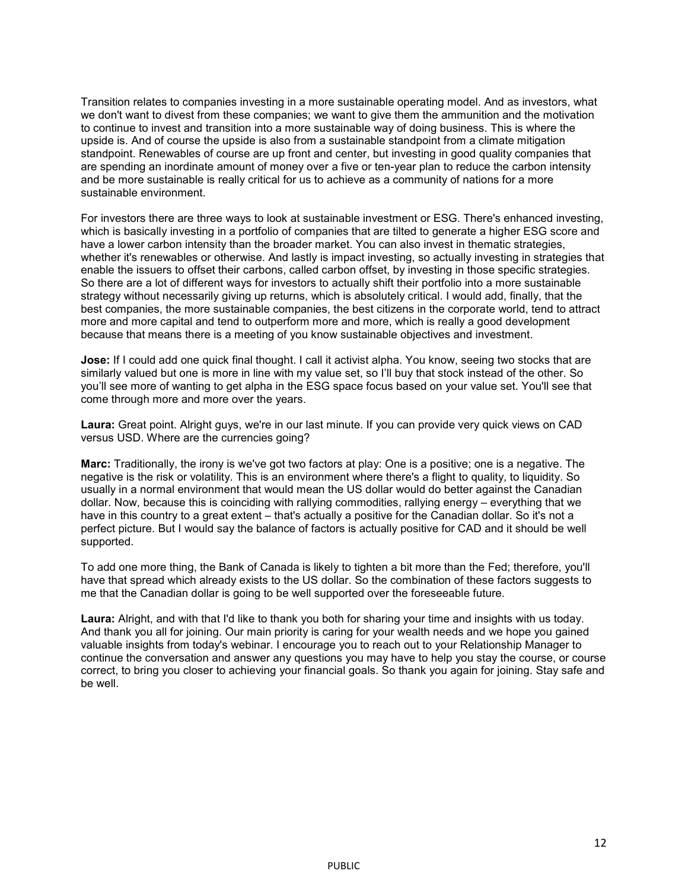Transition relates to companies investing in a more sustainable operating model. And as investors, what we don't want to divest from these companies; we want to give them the ammunition and the motivation to continue to invest and transition into a more sustainable way of doing business. This is where the upside is. And of course the upside is also from a sustainable standpoint from a climate mitigation standpoint. Renewables of course are up front and center, but investing in good quality companies that are spending an inordinate amount of money over a five or ten-year plan to reduce the carbon intensity and be more sustainable is really critical for us to achieve as a community of nations for a more sustainable environment.

For investors there are three ways to look at sustainable investment or ESG. There's enhanced investing, which is basically investing in a portfolio of companies that are tilted to generate a higher ESG score and have a lower carbon intensity than the broader market. You can also invest in thematic strategies, whether it's renewables or otherwise. And lastly is impact investing, so actually investing in strategies that enable the issuers to offset their carbons, called carbon offset, by investing in those specific strategies. So there are a lot of different ways for investors to actually shift their portfolio into a more sustainable strategy without necessarily giving up returns, which is absolutely critical. I would add, finally, that the best companies, the more sustainable companies, the best citizens in the corporate world, tend to attract more and more capital and tend to outperform more and more, which is really a good development because that means there is a meeting of you know sustainable objectives and investment.

**Jose:** If I could add one quick final thought. I call it activist alpha. You know, seeing two stocks that are similarly valued but one is more in line with my value set, so I'll buy that stock instead of the other. So you'll see more of wanting to get alpha in the ESG space focus based on your value set. You'll see that come through more and more over the years.

**Laura:** Great point. Alright guys, we're in our last minute. If you can provide very quick views on CAD versus USD. Where are the currencies going?

**Marc:** Traditionally, the irony is we've got two factors at play: One is a positive; one is a negative. The negative is the risk or volatility. This is an environment where there's a flight to quality, to liquidity. So usually in a normal environment that would mean the US dollar would do better against the Canadian dollar. Now, because this is coinciding with rallying commodities, rallying energy – everything that we have in this country to a great extent – that's actually a positive for the Canadian dollar. So it's not a perfect picture. But I would say the balance of factors is actually positive for CAD and it should be well supported.

To add one more thing, the Bank of Canada is likely to tighten a bit more than the Fed; therefore, you'll have that spread which already exists to the US dollar. So the combination of these factors suggests to me that the Canadian dollar is going to be well supported over the foreseeable future.

**Laura:** Alright, and with that I'd like to thank you both for sharing your time and insights with us today. And thank you all for joining. Our main priority is caring for your wealth needs and we hope you gained valuable insights from today's webinar. I encourage you to reach out to your Relationship Manager to continue the conversation and answer any questions you may have to help you stay the course, or course correct, to bring you closer to achieving your financial goals. So thank you again for joining. Stay safe and be well.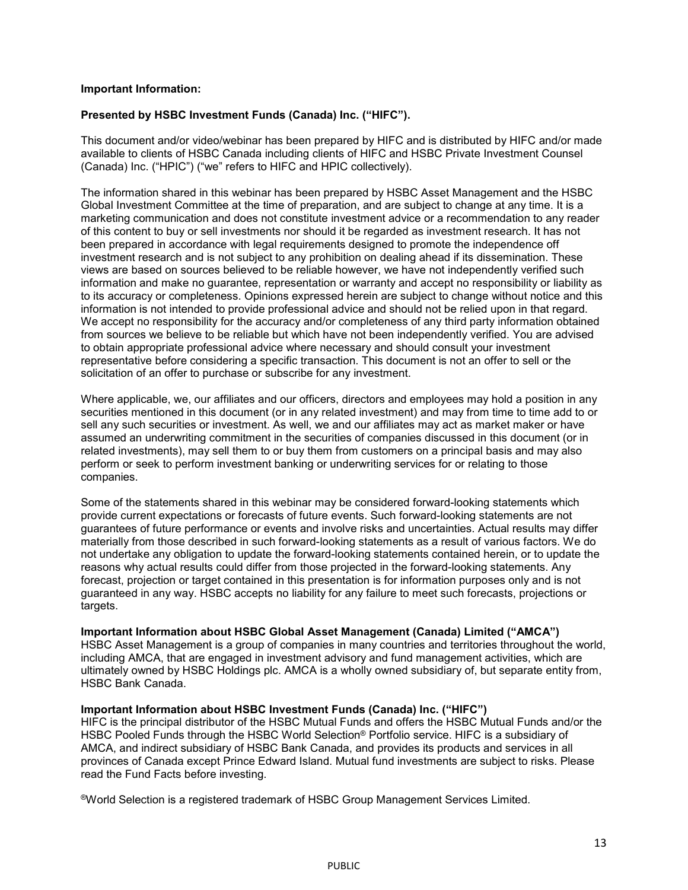# **Important Information:**

# **Presented by HSBC Investment Funds (Canada) Inc. ("HIFC").**

This document and/or video/webinar has been prepared by HIFC and is distributed by HIFC and/or made available to clients of HSBC Canada including clients of HIFC and HSBC Private Investment Counsel (Canada) Inc. ("HPIC") ("we" refers to HIFC and HPIC collectively).

The information shared in this webinar has been prepared by HSBC Asset Management and the HSBC Global Investment Committee at the time of preparation, and are subject to change at any time. It is a marketing communication and does not constitute investment advice or a recommendation to any reader of this content to buy or sell investments nor should it be regarded as investment research. It has not been prepared in accordance with legal requirements designed to promote the independence off investment research and is not subject to any prohibition on dealing ahead if its dissemination. These views are based on sources believed to be reliable however, we have not independently verified such information and make no guarantee, representation or warranty and accept no responsibility or liability as to its accuracy or completeness. Opinions expressed herein are subject to change without notice and this information is not intended to provide professional advice and should not be relied upon in that regard. We accept no responsibility for the accuracy and/or completeness of any third party information obtained from sources we believe to be reliable but which have not been independently verified. You are advised to obtain appropriate professional advice where necessary and should consult your investment representative before considering a specific transaction. This document is not an offer to sell or the solicitation of an offer to purchase or subscribe for any investment.

Where applicable, we, our affiliates and our officers, directors and employees may hold a position in any securities mentioned in this document (or in any related investment) and may from time to time add to or sell any such securities or investment. As well, we and our affiliates may act as market maker or have assumed an underwriting commitment in the securities of companies discussed in this document (or in related investments), may sell them to or buy them from customers on a principal basis and may also perform or seek to perform investment banking or underwriting services for or relating to those companies.

Some of the statements shared in this webinar may be considered forward-looking statements which provide current expectations or forecasts of future events. Such forward-looking statements are not guarantees of future performance or events and involve risks and uncertainties. Actual results may differ materially from those described in such forward-looking statements as a result of various factors. We do not undertake any obligation to update the forward-looking statements contained herein, or to update the reasons why actual results could differ from those projected in the forward-looking statements. Any forecast, projection or target contained in this presentation is for information purposes only and is not guaranteed in any way. HSBC accepts no liability for any failure to meet such forecasts, projections or targets.

# **Important Information about HSBC Global Asset Management (Canada) Limited ("AMCA")**

HSBC Asset Management is a group of companies in many countries and territories throughout the world, including AMCA, that are engaged in investment advisory and fund management activities, which are ultimately owned by HSBC Holdings plc. AMCA is a wholly owned subsidiary of, but separate entity from, HSBC Bank Canada.

# **Important Information about HSBC Investment Funds (Canada) Inc. ("HIFC")**

HIFC is the principal distributor of the HSBC Mutual Funds and offers the HSBC Mutual Funds and/or the HSBC Pooled Funds through the HSBC World Selection® Portfolio service. HIFC is a subsidiary of AMCA, and indirect subsidiary of HSBC Bank Canada, and provides its products and services in all provinces of Canada except Prince Edward Island. Mutual fund investments are subject to risks. Please read the Fund Facts before investing.

®World Selection is a registered trademark of HSBC Group Management Services Limited.